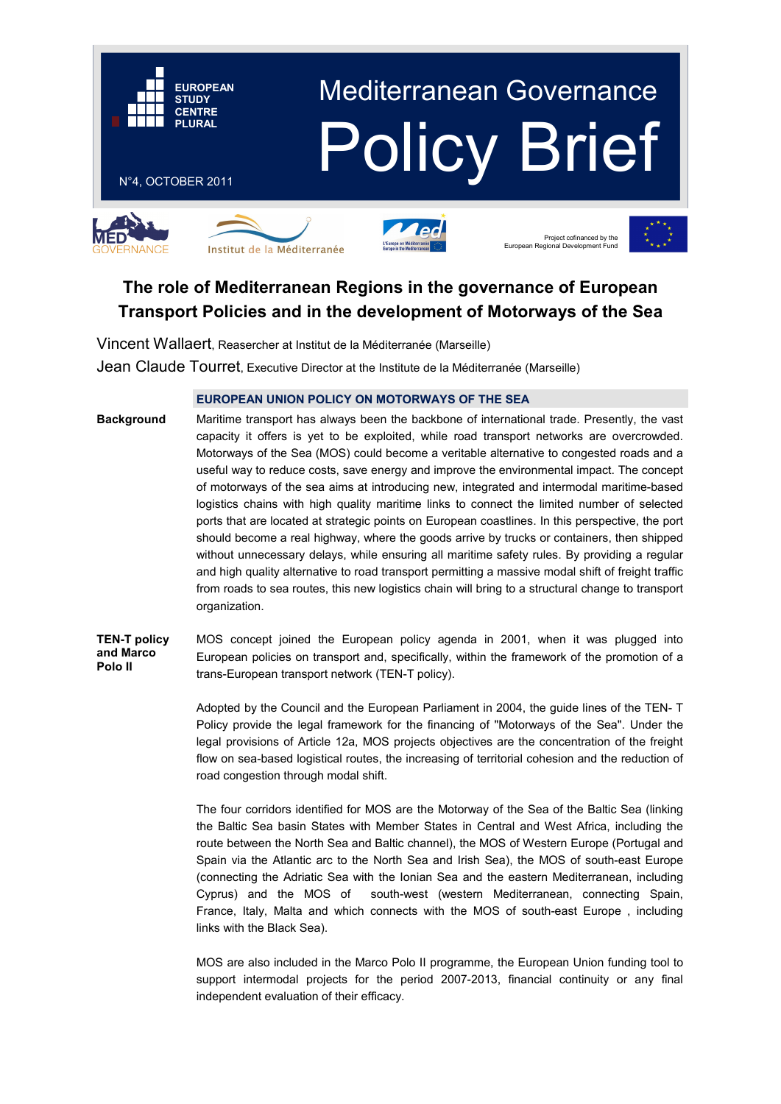

# **The role of Mediterranean Regions in the governance of European Transport Policies and in the development of Motorways of the Sea**

Vincent Wallaert, Reasercher at Institut de la Méditerranée (Marseille)

Jean Claude Tourret, Executive Director at the Institute de la Méditerranée (Marseille)

# **EUROPEAN UNION POLICY ON MOTORWAYS OF THE SEA**

Maritime transport has always been the backbone of international trade. Presently, the vast capacity it offers is yet to be exploited, while road transport networks are overcrowded. Motorways of the Sea (MOS) could become a veritable alternative to congested roads and a useful way to reduce costs, save energy and improve the environmental impact. The concept of motorways of the sea aims at introducing new, integrated and intermodal maritime-based logistics chains with high quality maritime links to connect the limited number of selected ports that are located at strategic points on European coastlines. In this perspective, the port should become a real highway, where the goods arrive by trucks or containers, then shipped without unnecessary delays, while ensuring all maritime safety rules. By providing a regular and high quality alternative to road transport permitting a massive modal shift of freight traffic from roads to sea routes, this new logistics chain will bring to a structural change to transport organization. **Background** 

MOS concept joined the European policy agenda in 2001, when it was plugged into European policies on transport and, specifically, within the framework of the promotion of a trans-European transport network (TEN-T policy). **TEN-T policy and Marco Polo II** 

> Adopted by the Council and the European Parliament in 2004, the guide lines of the TEN- T Policy provide the legal framework for the financing of "Motorways of the Sea". Under the legal provisions of Article 12a, MOS projects objectives are the concentration of the freight flow on sea-based logistical routes, the increasing of territorial cohesion and the reduction of road congestion through modal shift.

> The four corridors identified for MOS are the Motorway of the Sea of the Baltic Sea (linking the Baltic Sea basin States with Member States in Central and West Africa, including the route between the North Sea and Baltic channel), the MOS of Western Europe (Portugal and Spain via the Atlantic arc to the North Sea and Irish Sea), the MOS of south-east Europe (connecting the Adriatic Sea with the Ionian Sea and the eastern Mediterranean, including Cyprus) and the MOS of south-west (western Mediterranean, connecting Spain, France, Italy, Malta and which connects with the MOS of south-east Europe , including links with the Black Sea).

> MOS are also included in the Marco Polo II programme, the European Union funding tool to support intermodal projects for the period 2007-2013, financial continuity or any final independent evaluation of their efficacy.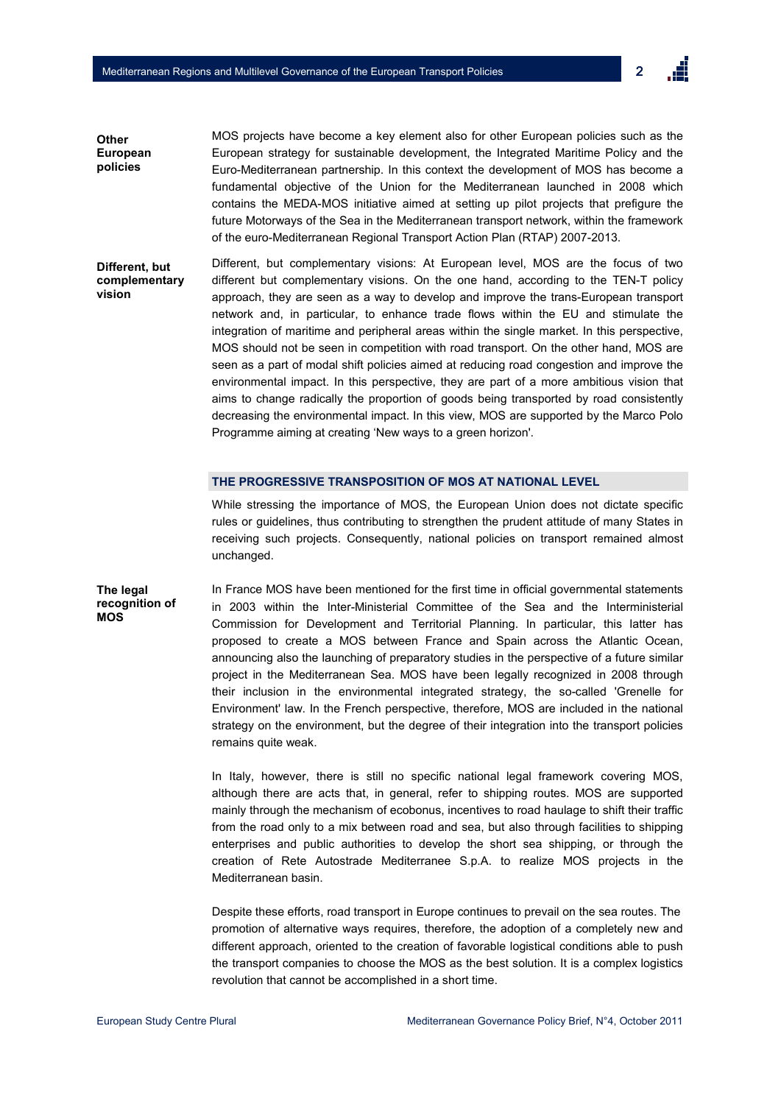MOS projects have become a key element also for other European policies such as the European strategy for sustainable development, the Integrated Maritime Policy and the Euro-Mediterranean partnership. In this context the development of MOS has become a fundamental objective of the Union for the Mediterranean launched in 2008 which contains the MEDA-MOS initiative aimed at setting up pilot projects that prefigure the future Motorways of the Sea in the Mediterranean transport network, within the framework of the euro-Mediterranean Regional Transport Action Plan (RTAP) 2007-2013. **Other European policies** 

Different, but complementary visions: At European level, MOS are the focus of two different but complementary visions. On the one hand, according to the TEN-T policy approach, they are seen as a way to develop and improve the trans-European transport network and, in particular, to enhance trade flows within the EU and stimulate the integration of maritime and peripheral areas within the single market. In this perspective, MOS should not be seen in competition with road transport. On the other hand, MOS are seen as a part of modal shift policies aimed at reducing road congestion and improve the environmental impact. In this perspective, they are part of a more ambitious vision that aims to change radically the proportion of goods being transported by road consistently decreasing the environmental impact. In this view, MOS are supported by the Marco Polo Programme aiming at creating 'New ways to a green horizon'. **Different, but complementary vision** 

#### **THE PROGRESSIVE TRANSPOSITION OF MOS AT NATIONAL LEVEL**

While stressing the importance of MOS, the European Union does not dictate specific rules or guidelines, thus contributing to strengthen the prudent attitude of many States in receiving such projects. Consequently, national policies on transport remained almost unchanged.

**The legal recognition of**  In France MOS have been mentioned for the first time in official governmental statements in 2003 within the Inter-Ministerial Committee of the Sea and the Interministerial Commission for Development and Territorial Planning. In particular, this latter has proposed to create a MOS between France and Spain across the Atlantic Ocean, announcing also the launching of preparatory studies in the perspective of a future similar project in the Mediterranean Sea. MOS have been legally recognized in 2008 through their inclusion in the environmental integrated strategy, the so-called 'Grenelle for Environment' law. In the French perspective, therefore, MOS are included in the national strategy on the environment, but the degree of their integration into the transport policies remains quite weak.

> In Italy, however, there is still no specific national legal framework covering MOS, although there are acts that, in general, refer to shipping routes. MOS are supported mainly through the mechanism of ecobonus, incentives to road haulage to shift their traffic from the road only to a mix between road and sea, but also through facilities to shipping enterprises and public authorities to develop the short sea shipping, or through the creation of Rete Autostrade Mediterranee S.p.A. to realize MOS projects in the Mediterranean basin.

> Despite these efforts, road transport in Europe continues to prevail on the sea routes. The promotion of alternative ways requires, therefore, the adoption of a completely new and different approach, oriented to the creation of favorable logistical conditions able to push the transport companies to choose the MOS as the best solution. It is a complex logistics revolution that cannot be accomplished in a short time.

**MOS**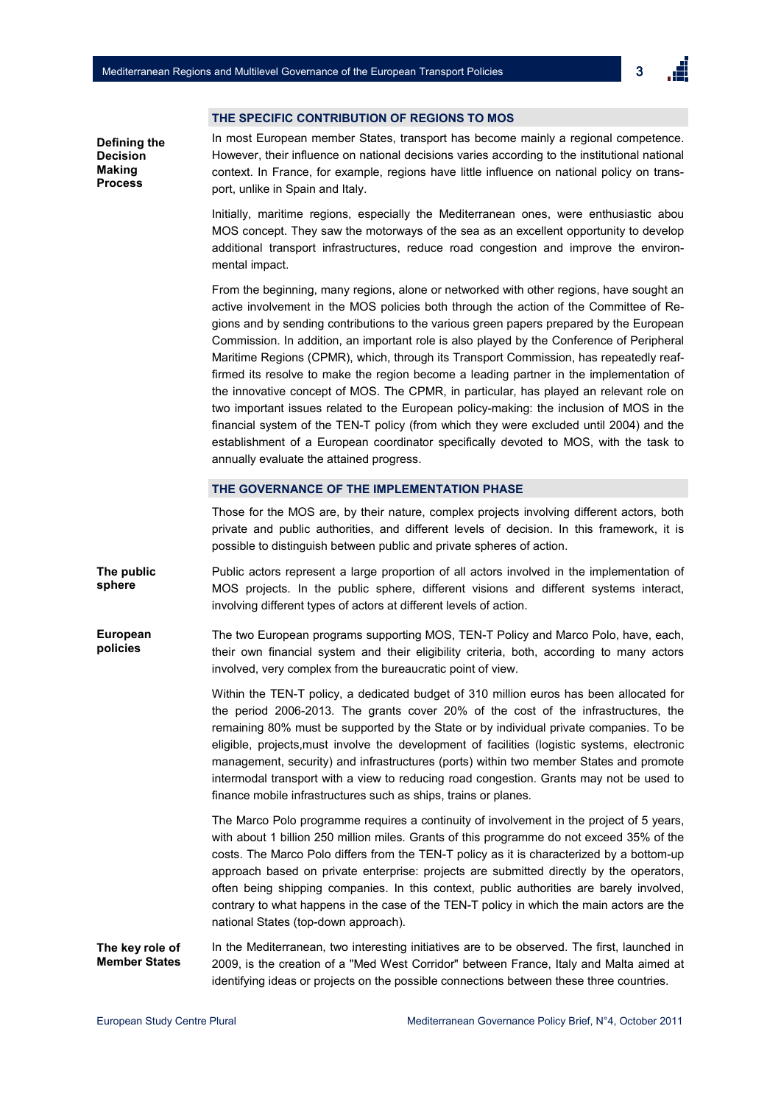$\overline{a}$ 

#### **THE SPECIFIC CONTRIBUTION OF REGIONS TO MOS**

**Defining the Decision Making Process** 

In most European member States, transport has become mainly a regional competence. However, their influence on national decisions varies according to the institutional national context. In France, for example, regions have little influence on national policy on transport, unlike in Spain and Italy.

Initially, maritime regions, especially the Mediterranean ones, were enthusiastic abou MOS concept. They saw the motorways of the sea as an excellent opportunity to develop additional transport infrastructures, reduce road congestion and improve the environmental impact.

From the beginning, many regions, alone or networked with other regions, have sought an active involvement in the MOS policies both through the action of the Committee of Regions and by sending contributions to the various green papers prepared by the European Commission. In addition, an important role is also played by the Conference of Peripheral Maritime Regions (CPMR), which, through its Transport Commission, has repeatedly reaffirmed its resolve to make the region become a leading partner in the implementation of the innovative concept of MOS. The CPMR, in particular, has played an relevant role on two important issues related to the European policy-making: the inclusion of MOS in the financial system of the TEN-T policy (from which they were excluded until 2004) and the establishment of a European coordinator specifically devoted to MOS, with the task to annually evaluate the attained progress.

## **THE GOVERNANCE OF THE IMPLEMENTATION PHASE**

Those for the MOS are, by their nature, complex projects involving different actors, both private and public authorities, and different levels of decision. In this framework, it is possible to distinguish between public and private spheres of action.

**The public sphere**  Public actors represent a large proportion of all actors involved in the implementation of MOS projects. In the public sphere, different visions and different systems interact, involving different types of actors at different levels of action.

The two European programs supporting MOS, TEN-T Policy and Marco Polo, have, each, their own financial system and their eligibility criteria, both, according to many actors involved, very complex from the bureaucratic point of view. **European policies** 

> Within the TEN-T policy, a dedicated budget of 310 million euros has been allocated for the period 2006-2013. The grants cover 20% of the cost of the infrastructures, the remaining 80% must be supported by the State or by individual private companies. To be eligible, projects,must involve the development of facilities (logistic systems, electronic management, security) and infrastructures (ports) within two member States and promote intermodal transport with a view to reducing road congestion. Grants may not be used to finance mobile infrastructures such as ships, trains or planes.

> The Marco Polo programme requires a continuity of involvement in the project of 5 years, with about 1 billion 250 million miles. Grants of this programme do not exceed 35% of the costs. The Marco Polo differs from the TEN-T policy as it is characterized by a bottom-up approach based on private enterprise: projects are submitted directly by the operators, often being shipping companies. In this context, public authorities are barely involved, contrary to what happens in the case of the TEN-T policy in which the main actors are the national States (top-down approach).

In the Mediterranean, two interesting initiatives are to be observed. The first, launched in 2009, is the creation of a "Med West Corridor" between France, Italy and Malta aimed at identifying ideas or projects on the possible connections between these three countries. **The key role of Member States**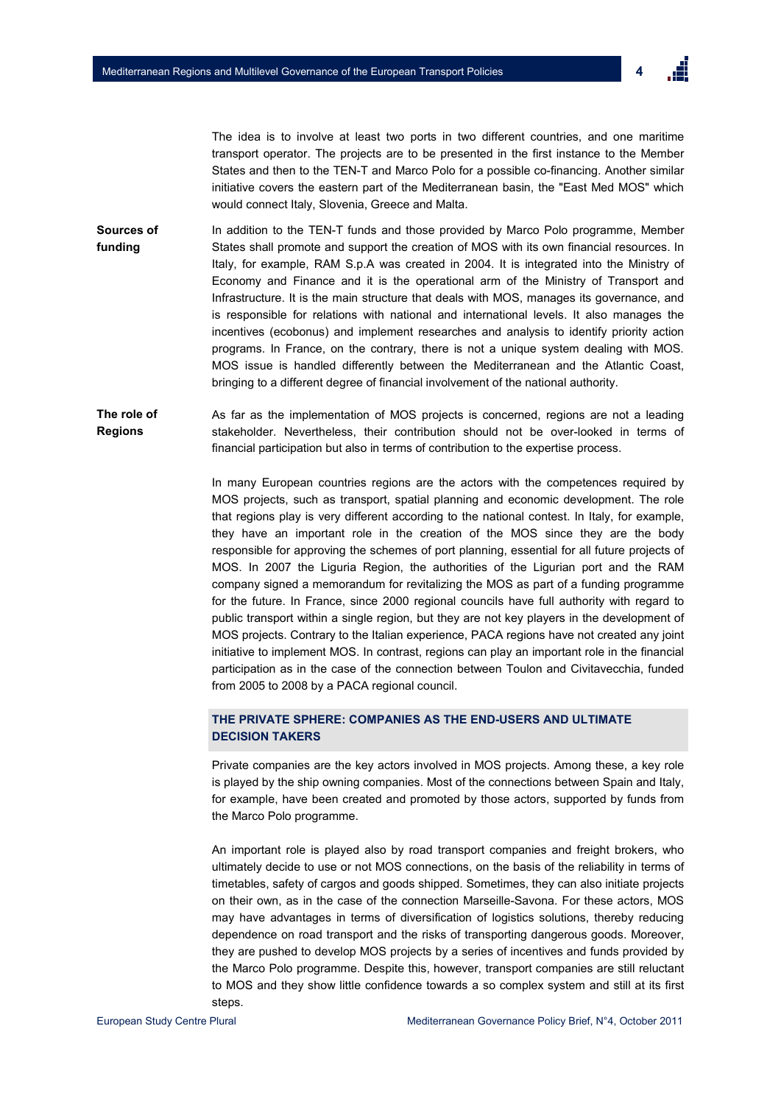The idea is to involve at least two ports in two different countries, and one maritime transport operator. The projects are to be presented in the first instance to the Member States and then to the TEN-T and Marco Polo for a possible co-financing. Another similar initiative covers the eastern part of the Mediterranean basin, the "East Med MOS" which would connect Italy, Slovenia, Greece and Malta.

- **Sources of funding**  In addition to the TEN-T funds and those provided by Marco Polo programme, Member States shall promote and support the creation of MOS with its own financial resources. In Italy, for example, RAM S.p.A was created in 2004. It is integrated into the Ministry of Economy and Finance and it is the operational arm of the Ministry of Transport and Infrastructure. It is the main structure that deals with MOS, manages its governance, and is responsible for relations with national and international levels. It also manages the incentives (ecobonus) and implement researches and analysis to identify priority action programs. In France, on the contrary, there is not a unique system dealing with MOS. MOS issue is handled differently between the Mediterranean and the Atlantic Coast, bringing to a different degree of financial involvement of the national authority.
- As far as the implementation of MOS projects is concerned, regions are not a leading stakeholder. Nevertheless, their contribution should not be over-looked in terms of financial participation but also in terms of contribution to the expertise process. **The role of Regions**

In many European countries regions are the actors with the competences required by MOS projects, such as transport, spatial planning and economic development. The role that regions play is very different according to the national contest. In Italy, for example, they have an important role in the creation of the MOS since they are the body responsible for approving the schemes of port planning, essential for all future projects of MOS. In 2007 the Liguria Region, the authorities of the Ligurian port and the RAM company signed a memorandum for revitalizing the MOS as part of a funding programme for the future. In France, since 2000 regional councils have full authority with regard to public transport within a single region, but they are not key players in the development of MOS projects. Contrary to the Italian experience, PACA regions have not created any joint initiative to implement MOS. In contrast, regions can play an important role in the financial participation as in the case of the connection between Toulon and Civitavecchia, funded from 2005 to 2008 by a PACA regional council.

# **THE PRIVATE SPHERE: COMPANIES AS THE END-USERS AND ULTIMATE DECISION TAKERS**

Private companies are the key actors involved in MOS projects. Among these, a key role is played by the ship owning companies. Most of the connections between Spain and Italy, for example, have been created and promoted by those actors, supported by funds from the Marco Polo programme.

An important role is played also by road transport companies and freight brokers, who ultimately decide to use or not MOS connections, on the basis of the reliability in terms of timetables, safety of cargos and goods shipped. Sometimes, they can also initiate projects on their own, as in the case of the connection Marseille-Savona. For these actors, MOS may have advantages in terms of diversification of logistics solutions, thereby reducing dependence on road transport and the risks of transporting dangerous goods. Moreover, they are pushed to develop MOS projects by a series of incentives and funds provided by the Marco Polo programme. Despite this, however, transport companies are still reluctant to MOS and they show little confidence towards a so complex system and still at its first steps.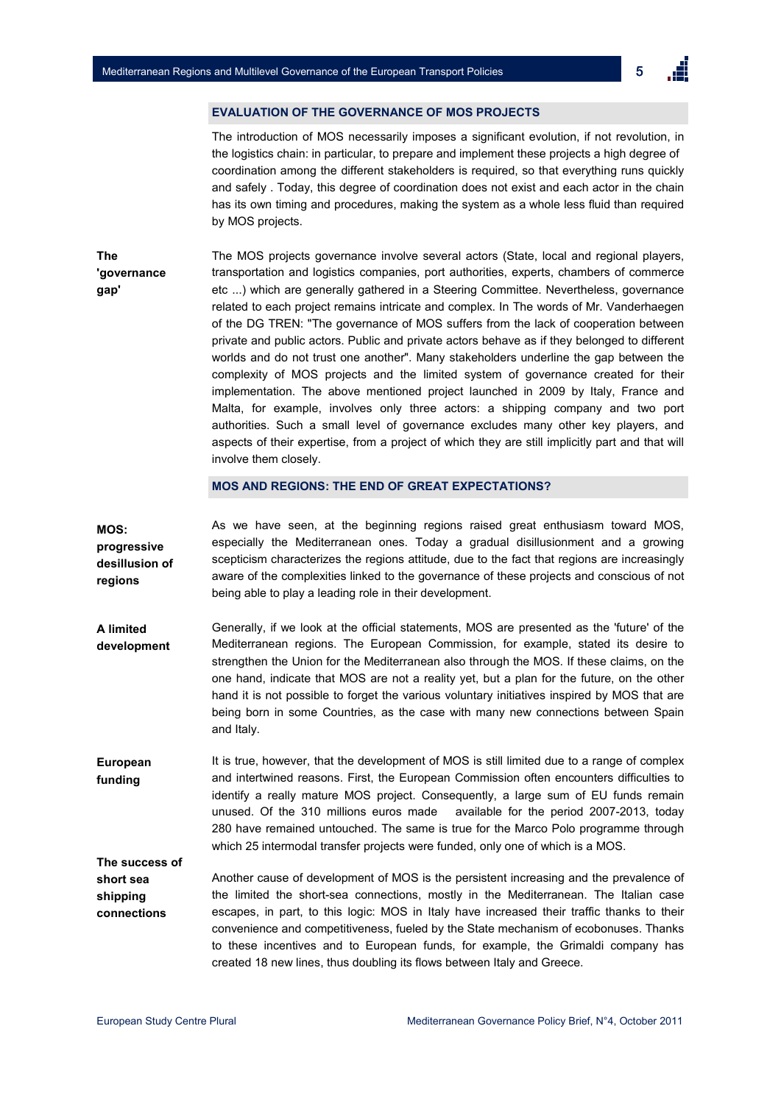5

# **EVALUATION OF THE GOVERNANCE OF MOS PROJECTS**

The introduction of MOS necessarily imposes a significant evolution, if not revolution, in the logistics chain: in particular, to prepare and implement these projects a high degree of coordination among the different stakeholders is required, so that everything runs quickly and safely . Today, this degree of coordination does not exist and each actor in the chain has its own timing and procedures, making the system as a whole less fluid than required by MOS projects.

**The 'governance gap'**  The MOS projects governance involve several actors (State, local and regional players, transportation and logistics companies, port authorities, experts, chambers of commerce etc ...) which are generally gathered in a Steering Committee. Nevertheless, governance related to each project remains intricate and complex. In The words of Mr. Vanderhaegen of the DG TREN: "The governance of MOS suffers from the lack of cooperation between private and public actors. Public and private actors behave as if they belonged to different worlds and do not trust one another". Many stakeholders underline the gap between the complexity of MOS projects and the limited system of governance created for their implementation. The above mentioned project launched in 2009 by Italy, France and Malta, for example, involves only three actors: a shipping company and two port authorities. Such a small level of governance excludes many other key players, and aspects of their expertise, from a project of which they are still implicitly part and that will involve them closely.

**MOS AND REGIONS: THE END OF GREAT EXPECTATIONS?** 

**A limited development**  As we have seen, at the beginning regions raised great enthusiasm toward MOS, especially the Mediterranean ones. Today a gradual disillusionment and a growing scepticism characterizes the regions attitude, due to the fact that regions are increasingly aware of the complexities linked to the governance of these projects and conscious of not being able to play a leading role in their development. Generally, if we look at the official statements, MOS are presented as the 'future' of the Mediterranean regions. The European Commission, for example, stated its desire to strengthen the Union for the Mediterranean also through the MOS. If these claims, on the one hand, indicate that MOS are not a reality yet, but a plan for the future, on the other hand it is not possible to forget the various voluntary initiatives inspired by MOS that are being born in some Countries, as the case with many new connections between Spain and Italy. It is true, however, that the development of MOS is still limited due to a range of complex and intertwined reasons. First, the European Commission often encounters difficulties to identify a really mature MOS project. Consequently, a large sum of EU funds remain unused. Of the 310 millions euros made available for the period 2007-2013, today 280 have remained untouched. The same is true for the Marco Polo programme through which 25 intermodal transfer projects were funded, only one of which is a MOS. Another cause of development of MOS is the persistent increasing and the prevalence of the limited the short-sea connections, mostly in the Mediterranean. The Italian case escapes, in part, to this logic: MOS in Italy have increased their traffic thanks to their convenience and competitiveness, fueled by the State mechanism of ecobonuses. Thanks to these incentives and to European funds, for example, the Grimaldi company has created 18 new lines, thus doubling its flows between Italy and Greece. **MOS: progressive desillusion of regions European funding The success of short sea shipping connections**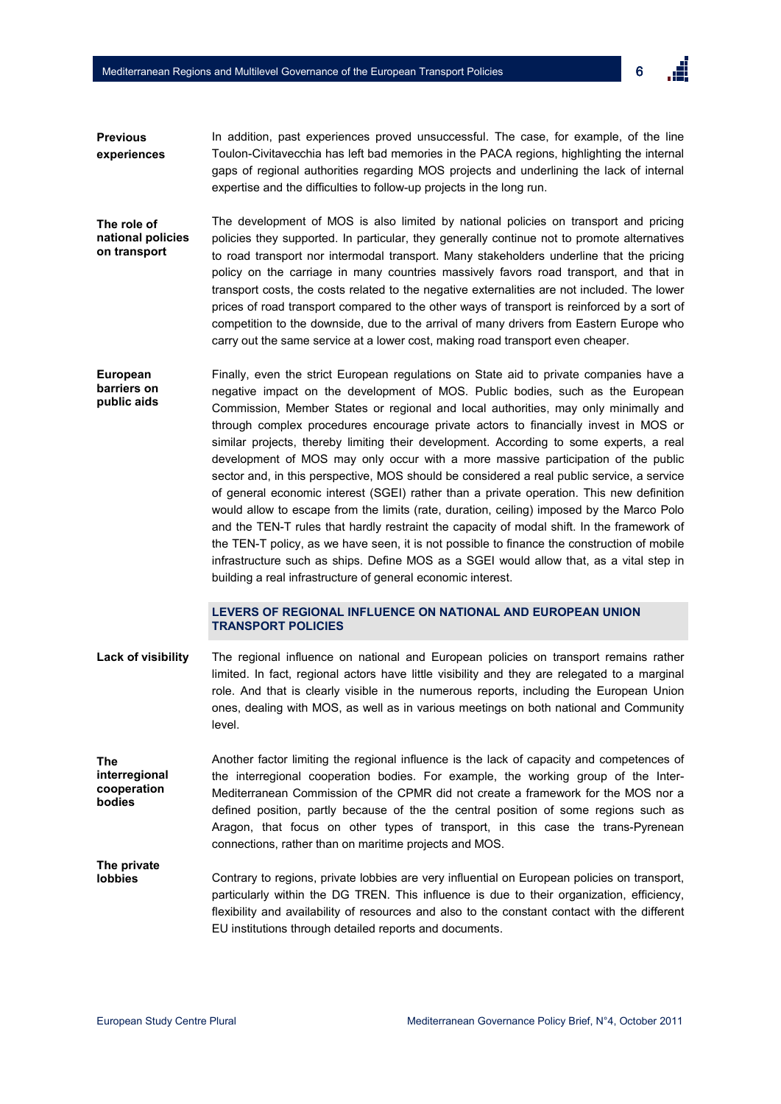6

- In addition, past experiences proved unsuccessful. The case, for example, of the line Toulon-Civitavecchia has left bad memories in the PACA regions, highlighting the internal gaps of regional authorities regarding MOS projects and underlining the lack of internal expertise and the difficulties to follow-up projects in the long run. **Previous experiences**
- The development of MOS is also limited by national policies on transport and pricing policies they supported. In particular, they generally continue not to promote alternatives to road transport nor intermodal transport. Many stakeholders underline that the pricing policy on the carriage in many countries massively favors road transport, and that in transport costs, the costs related to the negative externalities are not included. The lower prices of road transport compared to the other ways of transport is reinforced by a sort of competition to the downside, due to the arrival of many drivers from Eastern Europe who carry out the same service at a lower cost, making road transport even cheaper. **The role of national policies on transport**
- Finally, even the strict European regulations on State aid to private companies have a negative impact on the development of MOS. Public bodies, such as the European Commission, Member States or regional and local authorities, may only minimally and through complex procedures encourage private actors to financially invest in MOS or similar projects, thereby limiting their development. According to some experts, a real development of MOS may only occur with a more massive participation of the public sector and, in this perspective, MOS should be considered a real public service, a service of general economic interest (SGEI) rather than a private operation. This new definition would allow to escape from the limits (rate, duration, ceiling) imposed by the Marco Polo and the TEN-T rules that hardly restraint the capacity of modal shift. In the framework of the TEN-T policy, as we have seen, it is not possible to finance the construction of mobile infrastructure such as ships. Define MOS as a SGEI would allow that, as a vital step in building a real infrastructure of general economic interest. **European barriers on public aids**

# **LEVERS OF REGIONAL INFLUENCE ON NATIONAL AND EUROPEAN UNION TRANSPORT POLICIES**

- The regional influence on national and European policies on transport remains rather limited. In fact, regional actors have little visibility and they are relegated to a marginal role. And that is clearly visible in the numerous reports, including the European Union ones, dealing with MOS, as well as in various meetings on both national and Community level. **Lack of visibility**
- Another factor limiting the regional influence is the lack of capacity and competences of the interregional cooperation bodies. For example, the working group of the Inter-Mediterranean Commission of the CPMR did not create a framework for the MOS nor a defined position, partly because of the the central position of some regions such as Aragon, that focus on other types of transport, in this case the trans-Pyrenean connections, rather than on maritime projects and MOS. **The interregional cooperation bodies**

Contrary to regions, private lobbies are very influential on European policies on transport, particularly within the DG TREN. This influence is due to their organization, efficiency, flexibility and availability of resources and also to the constant contact with the different EU institutions through detailed reports and documents. **The private lobbies**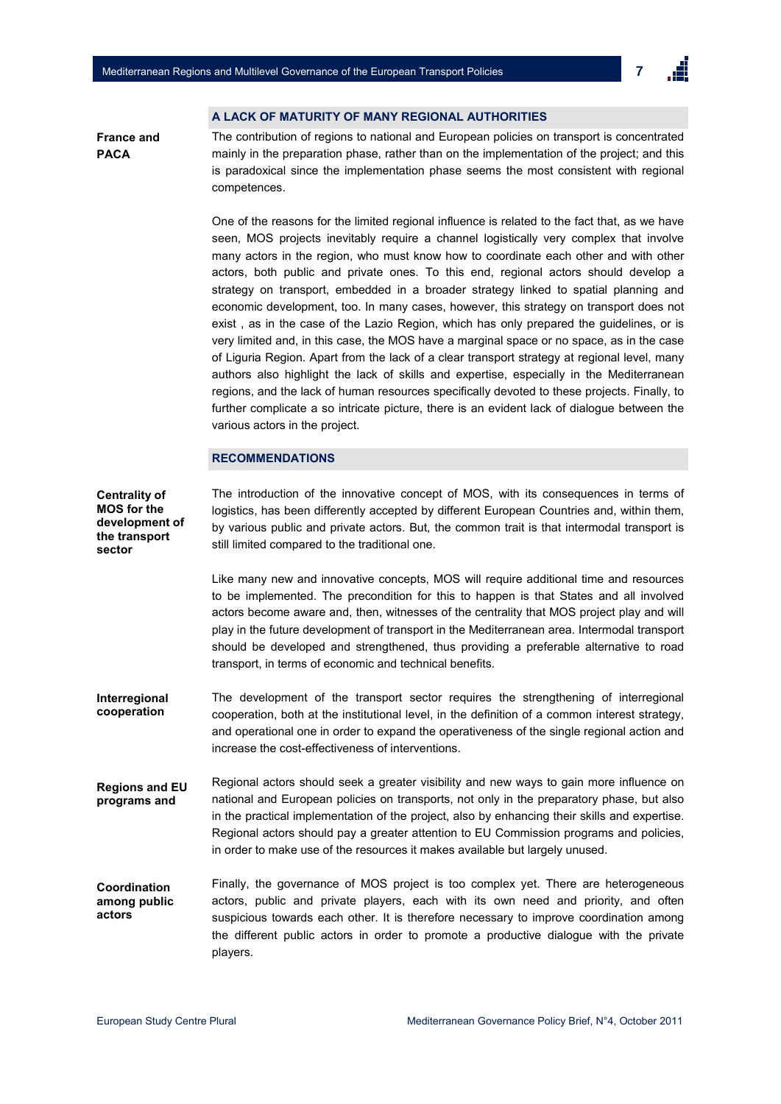## **A LACK OF MATURITY OF MANY REGIONAL AUTHORITIES**

**France and PACA** 

The contribution of regions to national and European policies on transport is concentrated mainly in the preparation phase, rather than on the implementation of the project; and this is paradoxical since the implementation phase seems the most consistent with regional competences.

One of the reasons for the limited regional influence is related to the fact that, as we have seen, MOS projects inevitably require a channel logistically very complex that involve many actors in the region, who must know how to coordinate each other and with other actors, both public and private ones. To this end, regional actors should develop a strategy on transport, embedded in a broader strategy linked to spatial planning and economic development, too. In many cases, however, this strategy on transport does not exist , as in the case of the Lazio Region, which has only prepared the guidelines, or is very limited and, in this case, the MOS have a marginal space or no space, as in the case of Liguria Region. Apart from the lack of a clear transport strategy at regional level, many authors also highlight the lack of skills and expertise, especially in the Mediterranean regions, and the lack of human resources specifically devoted to these projects. Finally, to further complicate a so intricate picture, there is an evident lack of dialogue between the various actors in the project.

#### **RECOMMENDATIONS**

The introduction of the innovative concept of MOS, with its consequences in terms of logistics, has been differently accepted by different European Countries and, within them, by various public and private actors. But, the common trait is that intermodal transport is still limited compared to the traditional one. Like many new and innovative concepts, MOS will require additional time and resources to be implemented. The precondition for this to happen is that States and all involved actors become aware and, then, witnesses of the centrality that MOS project play and will play in the future development of transport in the Mediterranean area. Intermodal transport should be developed and strengthened, thus providing a preferable alternative to road transport, in terms of economic and technical benefits. The development of the transport sector requires the strengthening of interregional cooperation, both at the institutional level, in the definition of a common interest strategy, and operational one in order to expand the operativeness of the single regional action and increase the cost-effectiveness of interventions. Regional actors should seek a greater visibility and new ways to gain more influence on national and European policies on transports, not only in the preparatory phase, but also in the practical implementation of the project, also by enhancing their skills and expertise. Regional actors should pay a greater attention to EU Commission programs and policies, in order to make use of the resources it makes available but largely unused. Finally, the governance of MOS project is too complex yet. There are heterogeneous actors, public and private players, each with its own need and priority, and often suspicious towards each other. It is therefore necessary to improve coordination among the different public actors in order to promote a productive dialogue with the private players. **Coordination among public actors Regions and EU programs and Interregional cooperation Centrality of MOS for the development of the transport sector**